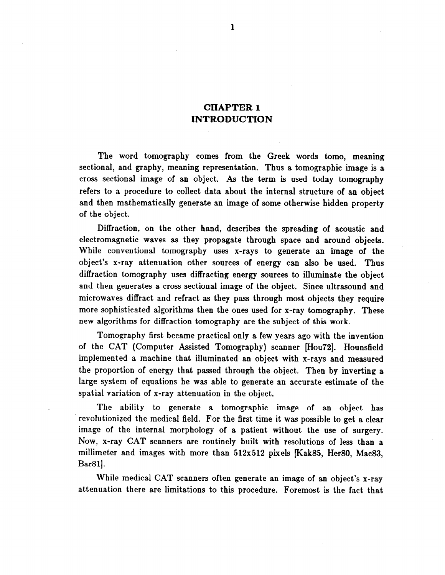## CHAPTER 1 INTRODUCTION

The word tomography comes from the Greek words tomo, meaning sectional, and graphy, meaning representation. Thus a tomographic image is a cross sectional image of an object. As the term is used today tomography refers to a procedure to collect data about the internal structure of an object and then mathematically generate an image of some otherwise hidden property of the object.

Diffraction, on the other hand, describes the spreading of acoustic and electromagnetic waves as they propagate through space and around objects. While conventional tomography uses x-rays to generate an image of the object's x-ray attenuation other sources of energy can also be used. Thus diffraction tomography uses diffracting energy sources to illuminate the object and then generates a cross sectional image of the object. Since ultrasound and microwaves diffract and refract as they pass through most objects they require more sophisticated algorithms then the ones used for x-ray tomography. These new algorithms for diffraction tomography are the subject of this work.

Tomography first became practical only a few years ago with the invention of the CAT (Computer Assisted Tomography) scanner [Hou72]. Hounsfield implemented a machine that illuminated an object with x-rays and measured the proportion of energy that passed through the object. Then by inverting a large system of equations he was able to generate an accurate estimate of the spatial variation of x-ray attenuation in the object.

The ability to generate a tomographic image of an object has revolutionized the medical field. For the first time it was possible to get a clear image of the internal morphology of a patient without the use of surgery. Now, x-ray CAT scanners are routinely built with resolutions of less than a millimeter and images with more than 512x512 pixels [Kak85, Her80, Mac83, Bar81].

While medical CAT scanners often generate an image of an object's x-ray attenuation there are limitations to this procedure. Foremost is the fact that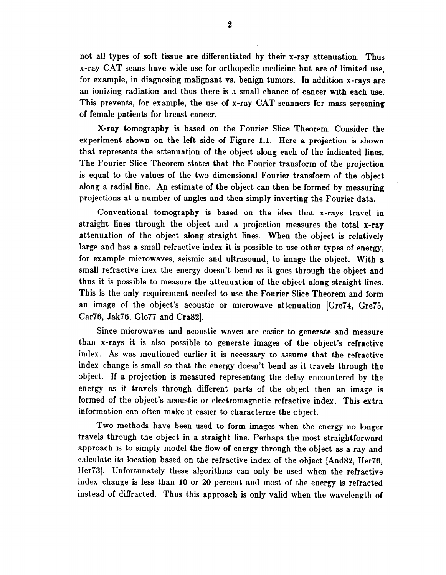not all types of soft tissue are differentiated by their x-ray attenuation. Thus x-ray CAT scans have wide use for orthopedic medicine but are of limited use, for example, in diagnosing malignant vs. benign tumors. In addition x-rays are an ionizing radiation and thus there is a small chance of cancer with each use. This prevents, for example, the use of x-ray CAT scanners for mass screening of female patients for breast cancer.

X-ray tomography is based on the Fourier Slice Theorem. Consider the experiment shown on the left side of Figure 1.1. Here a projection is shown that represents the attenuation of the object along each of the indicated lines. The Fourier Slice Theorem states that the Fourier transform of the projection is equal to the values of the two dimensional Fourier transform of the object along a radial line. An estimate of the object can then be formed by measuring projections at a number of angles and then simply inverting the Fourier data.

Conventional tomography is based on the idea that x-rays travel in straight lines through the object and a projection measures the total x-ray attenuation of the object along straight lines. When the object is relatively large and has a small refractive index it is possible to use other types of energy, for example microwaves, seismic and ultrasound, to image the object. With a small refractive inex the energy doesn't bend as it goes through the object and thus it is possible to measure the attenuation of the object along straight lines. This is the only requirement needed to use the Fourier Slice Theorem and form an image of the object's acoustic or microwave attenuation [Gre74, Gre75, Car76, Jak76, Glo77 and Cra82.

Since microwaves and acoustic waves are easier to generate and measure than x-rays it is also possible to generate images of the object's refractive index. As was mentioned earlier it is necessary to assume that the refractive index change is small so that the energy doesn't bend as it travels through the object. If a projection is measured representing the delay encountered by the energy as it travels through different parts of the object then an image is formed of the object's acoustic or electromagnetic refractive index. This extra information can often make it easier to characterize the object.

Two methods have been used to form images when the energy no longer travels through the object in a straight line. Perhaps the most straightforward approach is to simply model the flow of energy through the object as a ray and calculate its location based on the refractive index of the object [And82, Her76, Her73]. Unfortunately these algorithms can only be used when the refractive index change is less than 10 or 20 percent and most of the energy is refracted instead of diffracted. Thus this approach is only valid when the wavelength of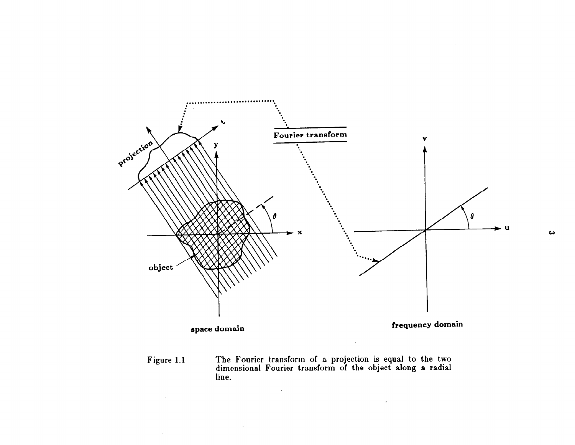

Figure 1.1 The Fourier transform of a projection is equal to the two dimensional Fourier transform of the object along a radial line.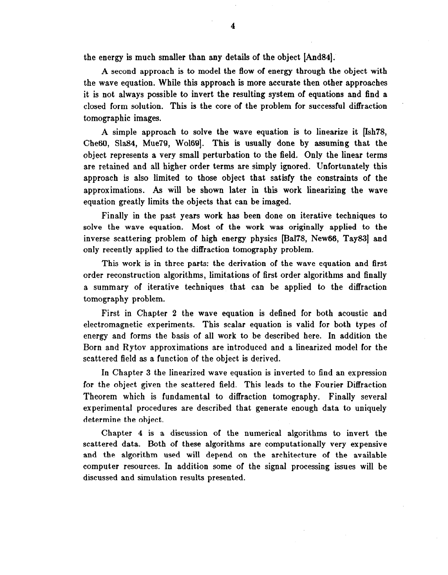the energy is much smaller than any details of the object [And84].

A second approach is to model the flow of energy through the object with the wave equation. While this approach is more accurate then other approaches it is not always possible to invert the resulting system of equations and find a closed form solution. This is the core of the problem for successful diffraction tomographic images.

A simple approach to solve the wave equation is to linearize it  $[Ish78]$ , Che60, Sla84, Mue79, Wol69. This is usually done by assuming that the object represents a very small perturbation to the field. Only the linear terms are retained and all higher order terms are simply ignored. Unfortunately this approach is also limited to those object that satisfy the constraints of the approximations. As will be shown later in this work linearizing the wave equation greatly limits the objects that can be imaged.

Finally in the past years work has been done on iterative techniques to solve the wave equation. Most of the work was originally applied to the inverse scattering problem of high energy physics [Ba178, New66, Tay83] and only recently applied to the diffraction tomography problem.

This work is in three parts: the derivation of the wave equation and first order reconstruction algorithms, limitations of first order algorithms and finally a summary of iterative techniques that can be applied to the diffraction tomography problem.

First in Chapter 2 the wave equation is defined for both acoustic and electromagnetic experiments. This scalar equation is valid for both types of energy and forms the basis of all work to be described here. In addition the Born and Rytov approximations are introduced and a linearized model for the scattered field as a function of the object is derived.

In Chapter 3 the linearized wave equation is inverted to find an expression for the object given the scattered field. This leads to the Fourier Diffraction Theorem which is fundamental to diffraction tomography. Finally several experimental procedures are described that generate enough data to uniquely determine the object.

Chapter 4 is a discussion of the numerical algorithms to invert the scattered data. Both of these algorithms are computationally very expensive and the algorithm used will depend on the architecture of the available computer resources. In addition some of the signal processing issues will be discussed and simulation results presented.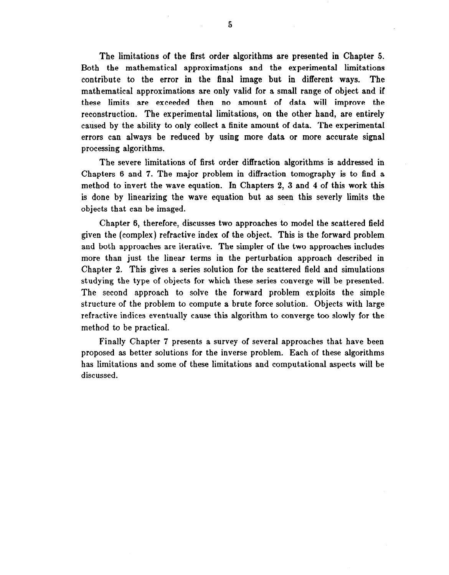The limitations of the first order algorithms are presented in Chapter 5. Both the mathematical approximations and the experimental limitations contribute to the error in the final image but in different ways. The mathematical approximations are only valid for a small range of object and if these limits are exceeded then no amount of data will improve the reconstruction. The experimental limitations, on the other hand, are entirely caused by the ability to only collect a finite amount of data. The experimental errors can always be reduced by using more data or more accurate signal processing algorithms.

The severe limitations of first order diffraction algorithms is addressed in Chapters 6 and 7. The major problem in diffraction tomography is to find a method to invert the wave equation. In Chapters 2, 3 and 4 of this work this is done by linearizing the wave equation but as seen this severly limits the objects that can be imaged.

Chapter 6, therefore, discusses two approaches to model the scattered field given the (complex) refractive index of the object. This is the forward problem and both approaches are iterative. The simpler of the two approaches includes more than just the linear terms in the perturbation approach described in Chapter 2. This gives a series solution for the scattered field and simulations studying the type of objects for which these series converge will be presented. The second approach to solve the forward problem exploits the simple structure of the problem to compute a brute force solution. Objects with large refractive indices eventually cause this algorithm to converge too slowly for the method to be practical.

Finally Chapter 7 presents a survey of several approaches that have been proposed as better solutions for the inverse problem. Each of these algorithms has limitations and some of these limitations and computational aspects will be discussed.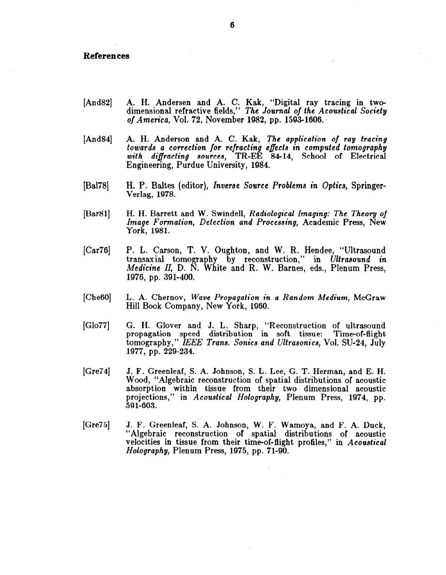## References

- [And82] A. H. Andersen and A. C. Kak, "Digital ray tracing in twodimensional refractive fields," The Journal of the Acoustical Society of America, Vol. 72, November 1982, pp. 1593-1606.
- [And841 A. H. Anderson and A. C. Kak, The application of ray tracing towards a correction for refracting efiects in computed tomography with diffracting sources, TR-EE 84-14, School of Electrica Engineering, Purdue University, 1984.
- [Ba178] H. P. Baltes (editor), Inverse Source Problems in Optics, Springer-Verlag, 1978.
- $[Bar81]$ H. H. Barrett and W. Swindell, Radiological Imaging: The Theory of Image Formation, Detection and Processing, Academic Press, New York, 1981.
- $[Car76]$ P. L. Carson, T. V. Oughton, and W. R. Hendee, "Ultrasound transaxial tomography by reconstruction," in Ultrasound in Medicine II, D. N. White and R. W. Barnes, eds., Plenum Press, 1976, pp. 391-400.
- [Che<sub>60</sub>] L. A. Chernov, Wave Propagation in a Random Medium, McGraw Hill Book Company, New York, 1960.
- [Glo77] G. H. Glover and J. L. Sharp, "Reconstruction of ultrasound propagation speed distribution in soft tissue: Time-of-flight tomography," IEEE Trans. Sonics and Ultrasonics, Vol. SU-24, July 1977, pp. 229-234.
- $[Gre74]$ J. F. Greenleaf, S. A. Johnsoq, S. L. Lee, G. T. Herman, and E. H. Wood, "Algebraic reconstruction of spatial distributions of acoustic absorption within tissue from their two dimensional acoustic projections," in Acoustical Holography, Plenum Press, 1974, pp. .59 l-603.
- [Gre75] J. F. Greenleaf, S. A. Johnson, W. F. Wamoya, and F. A. Duck, "Algebraic reconstruction of spatial distributions of acoustic velocities in tissue from their time-of-flight profiles," in Acoustical Holography, Plenum Press, 1975, pp. 71-90.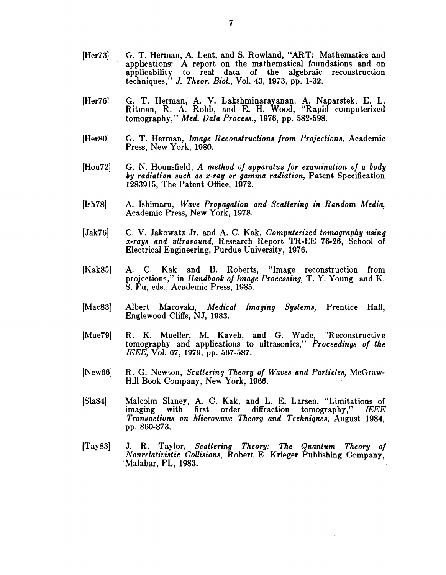- [Her73] G. T. Herman, A. Lent, and S. Rowland, "ART: Mathematics and applications: A report on the mathematical foundations and on applicability to real data of the algebraic reconstruction techniques," J. Theor. Biol., Vol. 43, 1973, pp. l-32.
- [Her76] G. T. Herman, A. V. Lakshminarayanan, A. Naparstek, E. L. Ritman, R. A. Robb, and E. H. Wood, "Rapid computerized tomography," Med. Data Process., 1976, pp. 582-598.
- [Her80] G. T. Herman, Image Reconstructions jrom Projections, Academic Press, New York, 1980.
- [Hou72] G. N. Hounsfield, A method of apparatus for examination of a body by radiation such as z-ray or gamma radiation, Patent Specification 1283915, The Patent Office, 1972.
- [Ish78] A. Ishimaru, Wave Propagation and Scattering in Random Media, Academic Press, New York, 1978.
- [ Jak76] C. V. Jakowatz Jr. and A. C. Kak, Computerized tomography using z-rays and ultrasound, Research Report TR-EE 76-26, School of Electrical Engineering, Purdue University, 1976.
- [Kak85] A. C. Kak and B. Roberts, "Image reconstruction from projections," in Handbook of Image Processing, T. Y. Young and K. S. Fu, eds., Academic Press, 1985.
- $[Mac83]$ Albert Macovski, Medical Imaging Systems, Prentice Hall, Englewood Cliffs, NJ, 1983.
- [Mue79] R. K. Mueller, M. Kaveh, and G. Wade, "Reconstructive tomography and applications to ultrasonics," Proceedings of the IEEE, Vol. 67, 1979, pp. 567-587.
- [New661 R. G. Newton, Scattering Theory of Waves and Particles, McGraw-Hill Book Company, New York, 1966.
- [Sla84] Malcolm Slaney, A. C. Kak, and L. E. Larsen, "Limitations of imaging with first order diffraction tomography," IEEE Transactions on Microwave Theory and Techniques, August 1984, pp. 860-873.
- $[Tay83]$ J. R. Taylor, Scattering Theory: The Quantum Theory of Nonrelativistic Collisions, Robert E. Krieger Publishing Company, 'Malabar, FL, 1983.